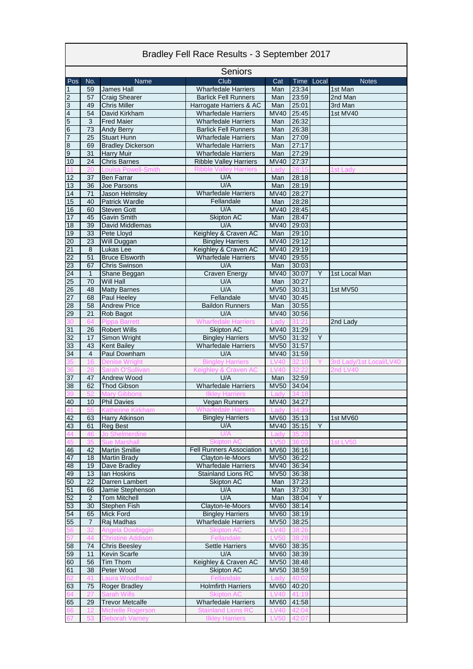| Bradley Fell Race Results - 3 September 2017 |                |                                          |                                                                |                     |                   |   |                         |  |
|----------------------------------------------|----------------|------------------------------------------|----------------------------------------------------------------|---------------------|-------------------|---|-------------------------|--|
| Seniors                                      |                |                                          |                                                                |                     |                   |   |                         |  |
| Pos                                          | No.            | Name                                     | Club                                                           | Cat                 | Time Local        |   | <b>Notes</b>            |  |
| $\overline{1}$                               | 59             | James Hall                               | <b>Wharfedale Harriers</b>                                     | Man                 | 23:34             |   | 1st Man                 |  |
|                                              | 57             | <b>Craig Shearer</b>                     | <b>Barlick Fell Runners</b>                                    | Man                 | 23:59             |   | 2nd Man                 |  |
| $\frac{2}{3}$                                | 49             | <b>Chris Miller</b>                      | Harrogate Harriers & AC                                        | Man                 | 25:01             |   | 3rd Man                 |  |
|                                              | 54             | David Kirkham                            | <b>Wharfedale Harriers</b>                                     | <b>MV40</b>         | 25:45             |   | 1st MV40                |  |
| $\frac{5}{6}$                                | 3              | <b>Fred Maier</b>                        | <b>Wharfedale Harriers</b>                                     | Man                 | 26:32             |   |                         |  |
|                                              | 73             | <b>Andy Berry</b>                        | <b>Barlick Fell Runners</b>                                    | Man                 | 26:38             |   |                         |  |
|                                              | 25             | <b>Stuart Hunn</b>                       | <b>Wharfedale Harriers</b>                                     | Man                 | 27:09             |   |                         |  |
| $\overline{8}$                               | 69             | <b>Bradley Dickerson</b>                 | <b>Wharfedale Harriers</b>                                     | Man                 | 27:17             |   |                         |  |
| $\overline{9}$                               | 31             | <b>Harry Muir</b>                        | <b>Wharfedale Harriers</b>                                     | Man                 | 27:29             |   |                         |  |
| 10                                           | 24             | <b>Chris Barnes</b>                      | <b>Ribble Valley Harriers</b><br><b>Ribble Valley Harriers</b> | MV40<br>I adv       | 27:37             |   |                         |  |
| 12                                           | 37             | <b>Louisa Powell-Smith</b><br>Ben Farrar | U/A                                                            | Man                 | 28:18             |   | st Lady                 |  |
| 13                                           | 36             | Joe Parsons                              | U/A                                                            | Man                 | 28:19             |   |                         |  |
| 14                                           | 71             | Jason Helmsley                           | <b>Wharfedale Harriers</b>                                     | <b>MV40</b>         | 28:27             |   |                         |  |
| 15                                           | 40             | <b>Patrick Wardle</b>                    | Fellandale                                                     | Man                 | 28:28             |   |                         |  |
| 16                                           | 60             | <b>Steven Gott</b>                       | U/A                                                            | <b>MV40</b>         | 28:45             |   |                         |  |
| 17                                           | 45             | <b>Gavin Smith</b>                       | Skipton AC                                                     | Man                 | 28:47             |   |                         |  |
| 18                                           | 39             | David Middlemas                          | U/A                                                            | MVAO                | 29:03             |   |                         |  |
| 19                                           | 33             | Pete Lloyd                               | Keighley & Craven AC                                           | Man                 | 29:10             |   |                         |  |
| 20                                           | 23             | Will Duggan                              | <b>Bingley Harriers</b>                                        | MV40 29:12          |                   |   |                         |  |
| $\overline{21}$                              | 8              | Lukas Lee                                | Keighley & Craven AC                                           | <b>MV40</b>         | 29:19             |   |                         |  |
| 22                                           | 51             | <b>Bruce Elsworth</b>                    | <b>Wharfedale Harriers</b>                                     | MV40 29:55          |                   |   |                         |  |
| 23                                           | 67             | <b>Chris Swinson</b>                     | U/A                                                            | Man                 | 30:03             |   |                         |  |
| 24                                           | $\mathbf{1}$   | Shane Beggan                             | Craven Energy                                                  | <b>MV40</b>         | 30:07             | Y | 1st Local Man           |  |
| 25                                           | 70             | <b>Will Hall</b>                         | U/A                                                            | Man                 | 30:27             |   |                         |  |
| 26                                           | 48             | <b>Matty Barnes</b>                      | U/A                                                            | <b>MV50</b>         | 30:31             |   | 1st MV50                |  |
| 27                                           | 68             | Paul Heeley                              | Fellandale                                                     | <b>MV40</b>         | 30:45             |   |                         |  |
| 28                                           | 58             | <b>Andrew Price</b>                      | <b>Baildon Runners</b>                                         | Man                 | 30:55             |   |                         |  |
| 29                                           | 21             | Rob Bagot                                | U/A                                                            | <b>MV40</b>         | 30:56             |   |                         |  |
| 30                                           | 64             | <b>Pippa Barrett</b>                     | Wharfedale Harriers                                            | Lady                | 31:2 <sup>.</sup> |   | 2nd Lady                |  |
| 31                                           | 26             | <b>Robert Wills</b>                      | Skipton AC                                                     | MV40 31:29          |                   |   |                         |  |
| 32                                           | 17             | Simon Wright                             | <b>Bingley Harriers</b>                                        | <b>MV50</b>         | 31:32             | Y |                         |  |
| 33                                           | 43             | <b>Kent Bailey</b>                       | <b>Wharfedale Harriers</b>                                     | MV50 31:57          |                   |   |                         |  |
| 34                                           | 4              | Paul Downham                             | U/A                                                            | MV40                | 31:59             |   |                         |  |
|                                              | 16             | <b>Denise Wright</b>                     | <b>Bingley Harriers</b>                                        | <b>LV40</b>         | 32:10             |   | 3rd Lady/1st Local/LV40 |  |
| 37                                           |                | Sarah O'Sullivan                         | Keighley & Craven AC<br>U/A                                    | <b>LV40</b>         |                   |   | 2nd $LVAO$              |  |
| 38                                           | 47<br>62       | Andrew Wood<br><b>Thod Gibson</b>        | <b>Wharfedale Harriers</b>                                     | Man<br>MV50 34:04   | 32:59             |   |                         |  |
|                                              | 52             | <b>Mary Gibbons</b>                      | <b>Ilkley Harriers</b>                                         | Lady                |                   |   |                         |  |
|                                              |                | 10 Phil Davies                           | Vegan Runners                                                  | MV40 34:27          |                   |   |                         |  |
| $\frac{40}{41}$                              |                | <b>Katherine Kirkham</b>                 | <b>Wharfedale Harriers</b>                                     | Lady                |                   |   |                         |  |
| 42                                           | 63             | <b>Harry Atkinson</b>                    | <b>Bingley Harriers</b>                                        |                     | MV60 35:13        |   | 1st MV60                |  |
| 43                                           | 61             | <b>Reg Best</b>                          | U/A                                                            |                     | MV40 35:15        | Y |                         |  |
| 44                                           | 46             | Jo Shelmerdine                           | U/A                                                            | Lady                | 35:28             |   |                         |  |
| 45                                           | 35             | <b>Sue Marshall</b>                      | <b>Skipton AC</b>                                              | <b>LV50</b>         | 36:03             |   | 1st LV50                |  |
| 46                                           | 42             | <b>Martin Smillie</b>                    | <b>Fell Runners Association</b>                                | MV60 36:16          |                   |   |                         |  |
| 47                                           | 18             | <b>Martin Brady</b>                      | Clayton-le-Moors                                               | MV50 36:22          |                   |   |                         |  |
| 48                                           | 19             | Dave Bradley                             | <b>Wharfedale Harriers</b>                                     | <b>MV40</b>         | 36:34             |   |                         |  |
| 49                                           | 13             | lan Hoskins                              | <b>Stainland Lions RC</b>                                      | <b>MV50</b>         | 36:38             |   |                         |  |
| 50                                           | 22             | Darren Lambert                           | Skipton AC                                                     | Man                 | 37:23             |   |                         |  |
| 51                                           | 66             | Jamie Stephenson                         | U/A                                                            | Man                 | 37:30             |   |                         |  |
| 52                                           | $\overline{2}$ | <b>Tom Mitchell</b>                      | U/A                                                            | Man                 | 38:04             | Y |                         |  |
| 53                                           | 30             | <b>Stephen Fish</b>                      | Clayton-le-Moors                                               | MV60                | 38:14             |   |                         |  |
| 54                                           | 65             | <b>Mick Ford</b>                         | <b>Bingley Harriers</b>                                        | <b>MV60</b>         | 38:19             |   |                         |  |
| 55                                           | 7              | Raj Madhas                               | <b>Wharfedale Harriers</b>                                     | <b>MV50</b>         | 38:25             |   |                         |  |
| 56                                           |                | Angela Dowbiggin                         | <b>Skipton AC</b>                                              | <b>LV40</b>         |                   |   |                         |  |
| 57                                           | 44             | <b>Christine Addison</b>                 | Fellandale                                                     | <b>LV50</b>         |                   |   |                         |  |
| 58                                           | 74             | <b>Chris Beesley</b>                     | <b>Settle Harriers</b>                                         | MV60 38:35          |                   |   |                         |  |
| 59                                           | 11             | <b>Kevin Scarfe</b>                      | U/A                                                            | <b>MV60</b>         | 38:39             |   |                         |  |
| 60                                           | 56             | Tim Thom                                 | Keighley & Craven AC                                           | <b>MV50</b>         | 38:48             |   |                         |  |
| 61                                           | 38<br>41       | Peter Wood<br>Laura Woodhead             | Skipton AC<br>Fellandale                                       | <b>MV50</b><br>Lady | 38:59<br>40:02    |   |                         |  |
| 63                                           | 75             | Roger Bradley                            | <b>Holmfirth Harriers</b>                                      | MV60 40:20          |                   |   |                         |  |
| גרֿ                                          | 27             | <b>Sarah Wills</b>                       | <b>Skipton AC</b>                                              | LV40 41:19          |                   |   |                         |  |
| 65                                           | 29             | <b>Trevor Metcalfe</b>                   | <b>Wharfedale Harriers</b>                                     | MV60 41:58          |                   |   |                         |  |
|                                              | 12             | Michelle Rogerson                        | <b>Stainland Lions RC</b>                                      | <b>LV40</b>         | 42:04             |   |                         |  |
|                                              | 53             | Deborah Varney                           | <b>Ilkley Harriers</b>                                         | <b>LV50</b>         | 42:07             |   |                         |  |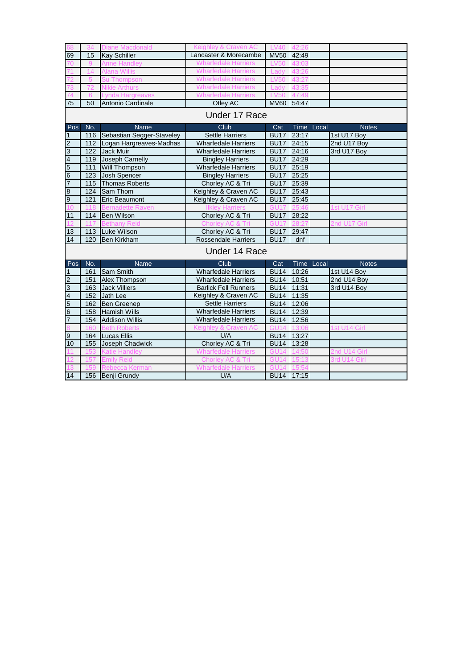|                         |     | <b>Diane Macdonald</b>        | Keighley & Craven AC        | 1 <sup>2</sup>    |       |            |              |  |
|-------------------------|-----|-------------------------------|-----------------------------|-------------------|-------|------------|--------------|--|
| 69                      | 15  | <b>Kay Schiller</b>           | Lancaster & Morecambe       | <b>MV50</b>       | 42:49 |            |              |  |
|                         | 9   | <b>Anne Handley</b>           | <b>Wharfedale Harriers</b>  | <b>LV50</b>       |       |            |              |  |
|                         | 14  | <b>Alana Willis</b>           | <b>Wharfedale Harriers</b>  | Ladv              |       |            |              |  |
|                         |     | <b>Su Thompson</b>            | <b>Wharfedale Harriers</b>  | <b>LV50</b>       |       |            |              |  |
|                         |     | <b>Nikie Arthurs</b>          | <b>Wharfedale Harriers</b>  | Ladv              |       |            |              |  |
|                         |     |                               | <b>Wharfedale Harrie</b>    |                   |       |            |              |  |
| 75                      | 50  | Antonio Cardinale             | Otley AC                    | <b>MV60</b>       | 54:47 |            |              |  |
| Under 17 Race           |     |                               |                             |                   |       |            |              |  |
| Pos                     | No. | <b>Name</b>                   | Club                        | Cat               |       | Time Local | <b>Notes</b> |  |
| 1                       |     | 116 Sebastian Segger-Staveley | <b>Settle Harriers</b>      | <b>BU17</b>       | 23:17 |            | 1st U17 Boy  |  |
| $\overline{2}$          | 112 | Logan Hargreaves-Madhas       | <b>Wharfedale Harriers</b>  | <b>BU17</b>       | 24:15 |            | 2nd U17 Boy  |  |
| 3                       | 122 | <b>Jack Muir</b>              | <b>Wharfedale Harriers</b>  | BU17 24:16        |       |            | 3rd U17 Boy  |  |
| $\overline{\mathbf{4}}$ | 119 | Joseph Carnelly               | <b>Bingley Harriers</b>     | BU17 24:29        |       |            |              |  |
| $5\overline{)}$         | 111 | <b>Will Thompson</b>          | <b>Wharfedale Harriers</b>  | BU17 25:19        |       |            |              |  |
| $6\overline{6}$         | 123 | Josh Spencer                  | <b>Bingley Harriers</b>     | <b>BU17</b>       | 25:25 |            |              |  |
| $\overline{7}$          | 115 | <b>Thomas Roberts</b>         | Chorley AC & Tri            | BU17 25:39        |       |            |              |  |
| 8                       | 124 | Sam Thom                      | Keighley & Craven AC        | B <sub>U</sub> 17 | 25:43 |            |              |  |
| 9                       | 121 | Eric Beaumont                 | Keighley & Craven AC        | <b>BU17</b>       | 25:45 |            |              |  |
|                         | 118 | <b>Bernadette Raven</b>       | Ilklev Ha                   |                   |       |            | 1st U17 Girl |  |
| 11                      | 114 | <b>Ben Wilson</b>             | Chorley AC & Tri            | <b>BU17</b>       | 28:22 |            |              |  |
|                         |     |                               | Chorley AC & Tri            | GU17              |       |            | 2nd U17 Girl |  |
| 13                      |     | 113 Luke Wilson               | Chorley AC & Tri            | <b>BU17</b>       | 29:47 |            |              |  |
| 14                      | 120 | <b>Ben Kirkham</b>            | <b>Rossendale Harriers</b>  | <b>BU17</b>       | dnf   |            |              |  |
|                         |     |                               | Under 14 Race               |                   |       |            |              |  |
| Pos                     | No. | Name                          | Club                        | Cat               |       | Time Local | <b>Notes</b> |  |
| $\mathbf{1}$            | 161 | Sam Smith                     | <b>Wharfedale Harriers</b>  | <b>BU14</b>       | 10:26 |            | 1st U14 Boy  |  |
| $\overline{2}$          | 151 | Alex Thompson                 | <b>Wharfedale Harriers</b>  | <b>BU14</b>       | 10:51 |            | 2nd U14 Boy  |  |
| 3                       | 163 | <b>Jack Villiers</b>          | <b>Barlick Fell Runners</b> | <b>BU14</b>       | 11:31 |            | 3rd U14 Boy  |  |
| 4                       | 152 | Jath Lee                      | Keighley & Craven AC        | <b>BU14</b>       | 11:35 |            |              |  |
| $\overline{5}$          | 162 | <b>Ben Greenep</b>            | <b>Settle Harriers</b>      | BU14 12:06        |       |            |              |  |
| $6\,$                   | 158 | <b>Hamish Wills</b>           | <b>Wharfedale Harriers</b>  | BU14 12:39        |       |            |              |  |
| $\overline{7}$          | 154 | <b>Addison Willis</b>         | <b>Wharfedale Harriers</b>  | <b>BU14</b>       | 12:56 |            |              |  |
|                         | 160 | <b>Beth Rober</b>             | Keighley & Craven AC        | GU14              |       |            | 1st U14 Girl |  |
| 9                       | 164 | <b>Lucas Ellis</b>            | U/A                         | BU14 13:27        |       |            |              |  |
| 10                      | 155 | Joseph Chadwick               | Chorley AC & Tri            | BU14 13:28        |       |            |              |  |
|                         | 153 | <b>Katie Handley</b>          | <b>Wharfedale Harriers</b>  |                   |       |            | 2nd U14 Girl |  |
|                         | 157 | <b>Emily Reid</b>             | Chorley AC & Tri            | <b>GU14</b>       |       |            | 3rd U14 Girl |  |
|                         | 159 | Rebecca Kerman                | <b>Wharfedale Harriers</b>  | <b>GU14</b>       |       |            |              |  |
| 14                      |     | 156 Benji Grundy              | U/A                         | BU14 17:15        |       |            |              |  |